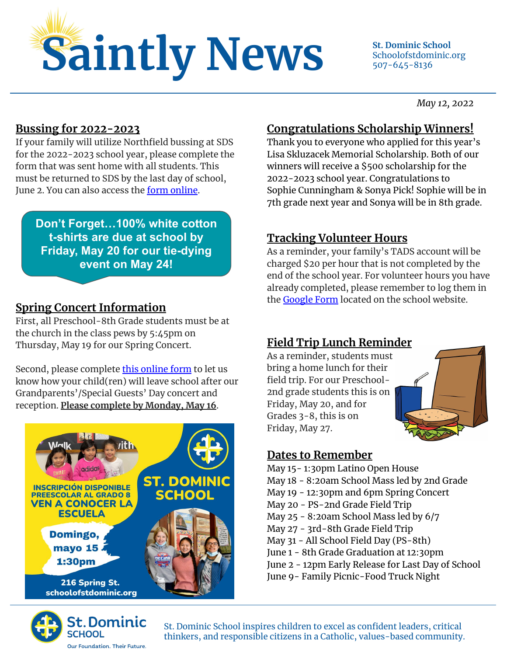

Schoolofstdominic.org 507-645-8136

*May 12, 2022*

#### **Bussing for 2022-2023**

If your family will utilize Northfield bussing at SDS for the 2022-2023 school year, please complete the form that was sent home with all students. This must be returned to SDS by the last day of school, June 2. You can also access the [form online.](https://schoolofstdominic.org/documents/2022-23-bus-form/)

**Don't Forget…100% white cotton t-shirts are due at school by Friday, May 20 for our tie-dying event on May 24!**

# **Spring Concert Information**

First, all Preschool-8th Grade students must be at the church in the class pews by 5:45pm on Thursday, May 19 for our Spring Concert.

Second, please complete *this online form* to let us know how your child(ren) will leave school after our Grandparents'/Special Guests' Day concert and reception. **Please complete by Monday, May 16**.





### **Congratulations Scholarship Winners!**

Thank you to everyone who applied for this year's Lisa Skluzacek Memorial Scholarship. Both of our winners will receive a \$500 scholarship for the 2022-2023 school year. Congratulations to Sophie Cunningham & Sonya Pick! Sophie will be in 7th grade next year and Sonya will be in 8th grade.

# **Tracking Volunteer Hours**

As a reminder, your family's TADS account will be charged \$20 per hour that is not completed by the end of the school year. For volunteer hours you have already completed, please remember to log them in the **Google Form** located on the school website.

# **Field Trip Lunch Reminder**

As a reminder, students must bring a home lunch for their field trip. For our Preschool-2nd grade students this is on Friday, May 20, and for Grades 3-8, this is on Friday, May 27.



### **Dates to Remember**

- May 15- 1:30pm Latino Open House May 18 - 8:20am School Mass led by 2nd Grade
- May 19 12:30pm and 6pm Spring Concert
- 
- May 20 PS-2nd Grade Field Trip
- May 25 8:20am School Mass led by 6/7
- May 27 3rd-8th Grade Field Trip
- May 31 All School Field Day (PS-8th)
- June 1 8th Grade Graduation at 12:30pm
- June 2 12pm Early Release for Last Day of School
- June 9- Family Picnic-Food Truck Night

St. Dominic School inspires children to excel as confident leaders, critical thinkers, and responsible citizens in a Catholic, values-based community.